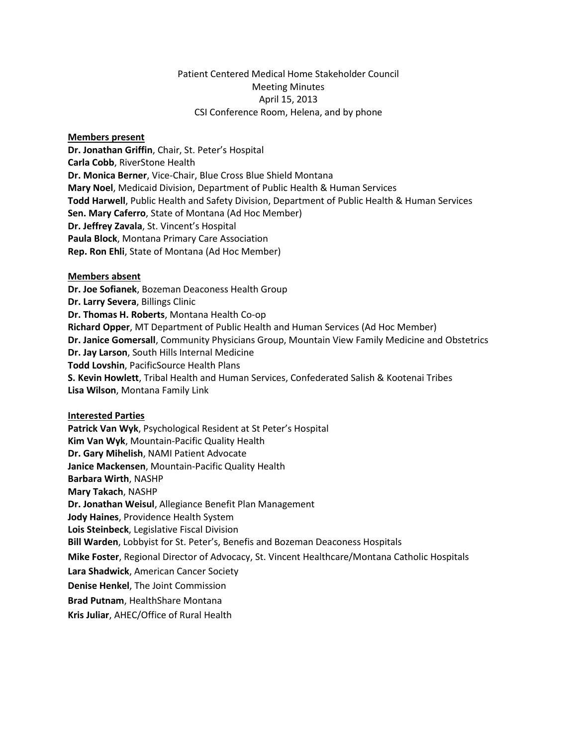## Patient Centered Medical Home Stakeholder Council Meeting Minutes April 15, 2013 CSI Conference Room, Helena, and by phone

#### **Members present**

**Dr. Jonathan Griffin**, Chair, St. Peter's Hospital **Carla Cobb**, RiverStone Health **Dr. Monica Berner**, Vice-Chair, Blue Cross Blue Shield Montana **Mary Noel**, Medicaid Division, Department of Public Health & Human Services **Todd Harwell**, Public Health and Safety Division, Department of Public Health & Human Services **Sen. Mary Caferro**, State of Montana (Ad Hoc Member) **Dr. Jeffrey Zavala**, St. Vincent's Hospital **Paula Block**, Montana Primary Care Association **Rep. Ron Ehli**, State of Montana (Ad Hoc Member)

#### **Members absent**

**Dr. Joe Sofianek**, Bozeman Deaconess Health Group **Dr. Larry Severa**, Billings Clinic **Dr. Thomas H. Roberts**, Montana Health Co-op **Richard Opper**, MT Department of Public Health and Human Services (Ad Hoc Member) **Dr. Janice Gomersall**, Community Physicians Group, Mountain View Family Medicine and Obstetrics **Dr. Jay Larson**, South Hills Internal Medicine **Todd Lovshin**, PacificSource Health Plans **S. Kevin Howlett**, Tribal Health and Human Services, Confederated Salish & Kootenai Tribes **Lisa Wilson**, Montana Family Link

### **Interested Parties**

**Patrick Van Wyk**, Psychological Resident at St Peter's Hospital **Kim Van Wyk**, Mountain-Pacific Quality Health **Dr. Gary Mihelish**, NAMI Patient Advocate **Janice Mackensen**, Mountain-Pacific Quality Health **Barbara Wirth**, NASHP **Mary Takach**, NASHP **Dr. Jonathan Weisul**, Allegiance Benefit Plan Management **Jody Haines**, Providence Health System **Lois Steinbeck**, Legislative Fiscal Division **Bill Warden**, Lobbyist for St. Peter's, Benefis and Bozeman Deaconess Hospitals **Mike Foster**, Regional Director of Advocacy, St. Vincent Healthcare/Montana Catholic Hospitals **Lara Shadwick**, American Cancer Society **Denise Henkel**, The Joint Commission **Brad Putnam**, HealthShare Montana **Kris Juliar**, AHEC/Office of Rural Health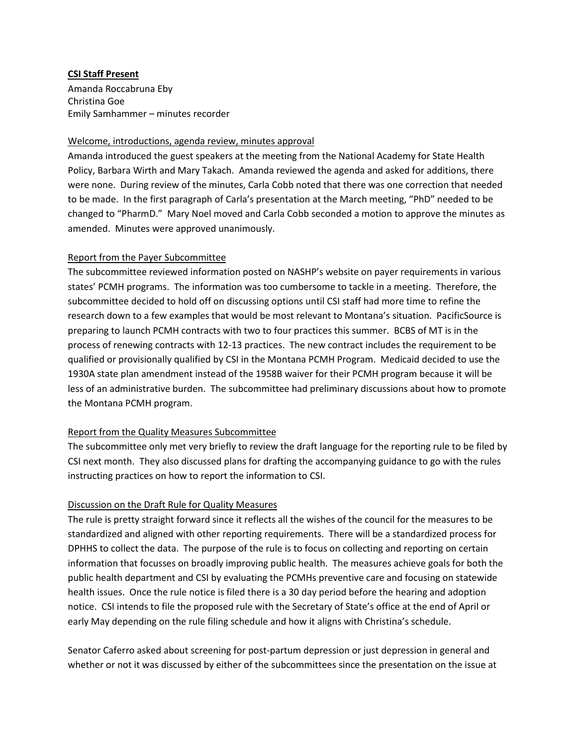### **CSI Staff Present**

Amanda Roccabruna Eby Christina Goe Emily Samhammer – minutes recorder

### Welcome, introductions, agenda review, minutes approval

Amanda introduced the guest speakers at the meeting from the National Academy for State Health Policy, Barbara Wirth and Mary Takach. Amanda reviewed the agenda and asked for additions, there were none. During review of the minutes, Carla Cobb noted that there was one correction that needed to be made. In the first paragraph of Carla's presentation at the March meeting, "PhD" needed to be changed to "PharmD." Mary Noel moved and Carla Cobb seconded a motion to approve the minutes as amended. Minutes were approved unanimously.

# Report from the Payer Subcommittee

The subcommittee reviewed information posted on NASHP's website on payer requirements in various states' PCMH programs. The information was too cumbersome to tackle in a meeting. Therefore, the subcommittee decided to hold off on discussing options until CSI staff had more time to refine the research down to a few examples that would be most relevant to Montana's situation. PacificSource is preparing to launch PCMH contracts with two to four practices this summer. BCBS of MT is in the process of renewing contracts with 12-13 practices. The new contract includes the requirement to be qualified or provisionally qualified by CSI in the Montana PCMH Program. Medicaid decided to use the 1930A state plan amendment instead of the 1958B waiver for their PCMH program because it will be less of an administrative burden. The subcommittee had preliminary discussions about how to promote the Montana PCMH program.

# Report from the Quality Measures Subcommittee

The subcommittee only met very briefly to review the draft language for the reporting rule to be filed by CSI next month. They also discussed plans for drafting the accompanying guidance to go with the rules instructing practices on how to report the information to CSI.

# Discussion on the Draft Rule for Quality Measures

The rule is pretty straight forward since it reflects all the wishes of the council for the measures to be standardized and aligned with other reporting requirements. There will be a standardized process for DPHHS to collect the data. The purpose of the rule is to focus on collecting and reporting on certain information that focusses on broadly improving public health. The measures achieve goals for both the public health department and CSI by evaluating the PCMHs preventive care and focusing on statewide health issues. Once the rule notice is filed there is a 30 day period before the hearing and adoption notice. CSI intends to file the proposed rule with the Secretary of State's office at the end of April or early May depending on the rule filing schedule and how it aligns with Christina's schedule.

Senator Caferro asked about screening for post-partum depression or just depression in general and whether or not it was discussed by either of the subcommittees since the presentation on the issue at